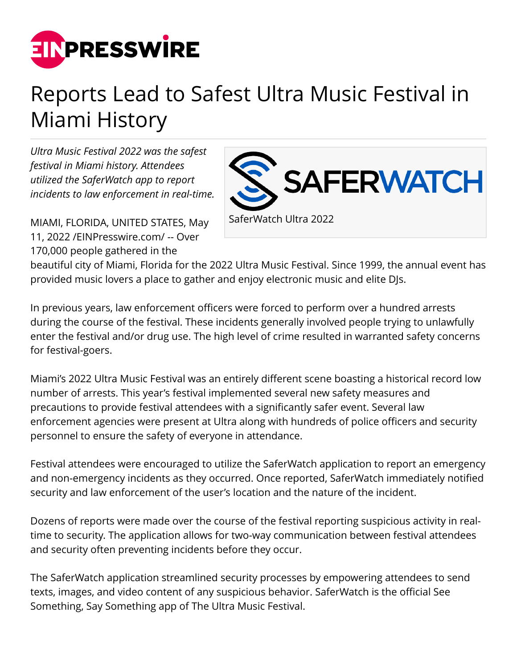

## Reports Lead to Safest Ultra Music Festival in Miami History

*Ultra Music Festival 2022 was the safest festival in Miami history. Attendees utilized the SaferWatch app to report incidents to law enforcement in real-time.*



MIAMI, FLORIDA, UNITED STATES, May 11, 2022 /[EINPresswire.com/](http://www.einpresswire.com) -- Over 170,000 people gathered in the

beautiful city of Miami, Florida for the 2022 Ultra Music Festival. Since 1999, the annual event has provided music lovers a place to gather and enjoy electronic music and elite DJs.

In previous years, law enforcement officers were forced to perform over a hundred arrests during the course of the festival. These incidents generally involved people trying to unlawfully enter the festival and/or drug use. The high level of crime resulted in warranted safety concerns for festival-goers.

Miami's 2022 Ultra Music Festival was an entirely different scene boasting a historical record low number of arrests. This year's festival implemented several new safety measures and precautions to provide festival attendees with a significantly safer event. Several law enforcement agencies were present at Ultra along with hundreds of police officers and security personnel to ensure the safety of everyone in attendance.

Festival attendees were encouraged to utilize the SaferWatch application to report an emergency and non-emergency incidents as they occurred. Once reported, SaferWatch immediately notified security and law enforcement of the user's location and the nature of the incident.

Dozens of reports were made over the course of the festival reporting suspicious activity in realtime to security. The application allows for two-way communication between festival attendees and security often preventing incidents before they occur.

The SaferWatch application streamlined security processes by empowering attendees to send texts, images, and video content of any suspicious behavior. SaferWatch is the official See Something, Say Something app of The Ultra Music Festival.